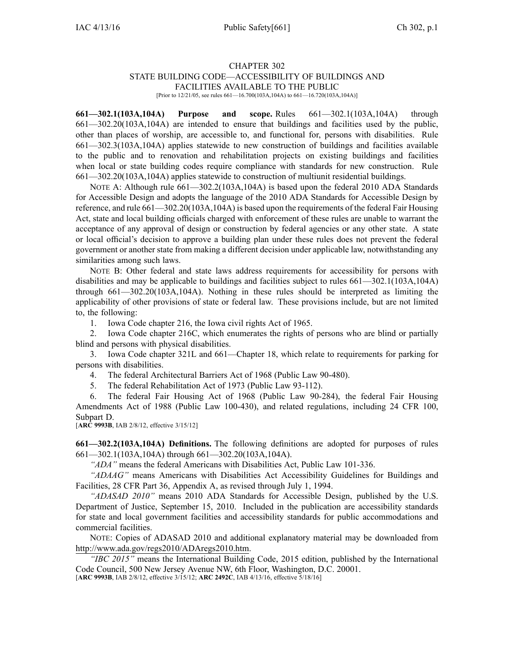## CHAPTER 302 STATE BUILDING CODE—ACCESSIBILITY OF BUILDINGS AND FACILITIES AVAILABLE TO THE PUBLIC

[Prior to 12/21/05, see rules 661-16.700(103A,104A) to 661-16.720(103A,104A)]

**661—302.1(103A,104A) Purpose and scope.** Rules 661—302.1(103A,104A) through 661—302.20(103A,104A) are intended to ensure that buildings and facilities used by the public, other than places of worship, are accessible to, and functional for, persons with disabilities. Rule 661—302.3(103A,104A) applies statewide to new construction of buildings and facilities available to the public and to renovation and rehabilitation projects on existing buildings and facilities when local or state building codes require compliance with standards for new construction. Rule 661—302.20(103A,104A) applies statewide to construction of multiunit residential buildings.

NOTE A: Although rule  $661-302.2(103A,104A)$  is based upon the federal 2010 ADA Standards for Accessible Design and adopts the language of the 2010 ADA Standards for Accessible Design by reference, and rule 661—302.20(103A,104A) is based upon the requirements of the federal Fair Housing Act, state and local building officials charged with enforcement of these rules are unable to warrant the acceptance of any approval of design or construction by federal agencies or any other state. A state or local official's decision to approve <sup>a</sup> building plan under these rules does not preven<sup>t</sup> the federal governmen<sup>t</sup> or another state from making <sup>a</sup> different decision under applicable law, notwithstanding any similarities among such laws.

NOTE B: Other federal and state laws address requirements for accessibility for persons with disabilities and may be applicable to buildings and facilities subject to rules 661—302.1(103A,104A) through 661—302.20(103A,104A). Nothing in these rules should be interpreted as limiting the applicability of other provisions of state or federal law. These provisions include, but are not limited to, the following:

1. Iowa Code chapter [216](https://www.legis.iowa.gov/docs/ico/chapter/216.pdf), the Iowa civil rights Act of 1965.

2. Iowa Code chapter [216C](https://www.legis.iowa.gov/docs/ico/chapter/216C.pdf), which enumerates the rights of persons who are blind or partially blind and persons with physical disabilities.

3. Iowa Code chapter [321L](https://www.legis.iowa.gov/docs/ico/chapter/321L.pdf) and 661—Chapter 18, which relate to requirements for parking for persons with disabilities.

4. The federal Architectural Barriers Act of 1968 (Public Law 90-480).

5. The federal Rehabilitation Act of 1973 (Public Law 93-112).

6. The federal Fair Housing Act of 1968 (Public Law 90-284), the federal Fair Housing Amendments Act of 1988 (Public Law 100-430), and related regulations, including 24 CFR 100, Subpart D.

[**ARC 9993B**, IAB 2/8/12, effective 3/15/12]

**661—302.2(103A,104A) Definitions.** The following definitions are adopted for purposes of rules 661—302.1(103A,104A) through 661—302.20(103A,104A).

*"ADA"* means the federal Americans with Disabilities Act, Public Law 101-336.

*"ADAAG"* means Americans with Disabilities Act Accessibility Guidelines for Buildings and Facilities, 28 CFR Part 36, Appendix A, as revised through July 1, 1994.

*"ADASAD 2010"* means 2010 ADA Standards for Accessible Design, published by the U.S. Department of Justice, September 15, 2010. Included in the publication are accessibility standards for state and local governmen<sup>t</sup> facilities and accessibility standards for public accommodations and commercial facilities.

NOTE: Copies of ADASAD 2010 and additional explanatory material may be downloaded from <http://www.ada.gov/regs2010/ADAregs2010.htm>.

*"IBC 2015"* means the International Building Code, 2015 edition, published by the International Code Council, 500 New Jersey Avenue NW, 6th Floor, Washington, D.C. 20001.

[**ARC 9993B**, IAB 2/8/12, effective 3/15/12; **ARC 2492C**, IAB 4/13/16, effective 5/18/16]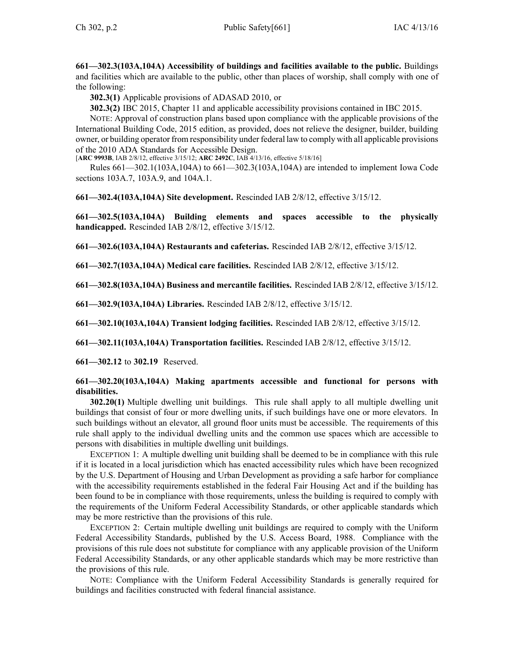**661—302.3(103A,104A) Accessibility of buildings and facilities available to the public.** Buildings and facilities which are available to the public, other than places of worship, shall comply with one of the following:

**302.3(1)** Applicable provisions of ADASAD 2010, or

**302.3(2)** IBC 2015, Chapter 11 and applicable accessibility provisions contained in IBC 2015.

NOTE: Approval of construction plans based upon compliance with the applicable provisions of the International Building Code, 2015 edition, as provided, does not relieve the designer, builder, building owner, or building operator from responsibility under federal law to comply with all applicable provisions of the 2010 ADA Standards for Accessible Design.

[**ARC 9993B**, IAB 2/8/12, effective 3/15/12; **ARC 2492C**, IAB 4/13/16, effective 5/18/16]

Rules 661—302.1(103A,104A) to 661—302.3(103A,104A) are intended to implement Iowa Code sections [103A.7](https://www.legis.iowa.gov/docs/ico/section/103A.7.pdf), [103A.9](https://www.legis.iowa.gov/docs/ico/section/103A.9.pdf), and [104A.1](https://www.legis.iowa.gov/docs/ico/section/104A.1.pdf).

**661—302.4(103A,104A) Site development.** Rescinded IAB [2/8/12](https://www.legis.iowa.gov/docs/aco/bulletin/02-08-2012.pdf), effective 3/15/12.

**661—302.5(103A,104A) Building elements and spaces accessible to the physically handicapped.** Rescinded IAB [2/8/12](https://www.legis.iowa.gov/docs/aco/bulletin/02-08-2012.pdf), effective 3/15/12.

**661—302.6(103A,104A) Restaurants and cafeterias.** Rescinded IAB [2/8/12](https://www.legis.iowa.gov/docs/aco/bulletin/02-08-2012.pdf), effective 3/15/12.

**661—302.7(103A,104A) Medical care facilities.** Rescinded IAB [2/8/12](https://www.legis.iowa.gov/docs/aco/bulletin/02-08-2012.pdf), effective 3/15/12.

**661—302.8(103A,104A) Business and mercantile facilities.** Rescinded IAB [2/8/12](https://www.legis.iowa.gov/docs/aco/bulletin/02-08-2012.pdf), effective 3/15/12.

**661—302.9(103A,104A) Libraries.** Rescinded IAB [2/8/12](https://www.legis.iowa.gov/docs/aco/bulletin/02-08-2012.pdf), effective 3/15/12.

**661—302.10(103A,104A) Transient lodging facilities.** Rescinded IAB [2/8/12](https://www.legis.iowa.gov/docs/aco/bulletin/02-08-2012.pdf), effective 3/15/12.

**661—302.11(103A,104A) Transportation facilities.** Rescinded IAB [2/8/12](https://www.legis.iowa.gov/docs/aco/bulletin/02-08-2012.pdf), effective 3/15/12.

**661—302.12** to **302.19** Reserved.

## **661—302.20(103A,104A) Making apartments accessible and functional for persons with disabilities.**

**302.20(1)** Multiple dwelling unit buildings. This rule shall apply to all multiple dwelling unit buildings that consist of four or more dwelling units, if such buildings have one or more elevators. In such buildings without an elevator, all ground floor units must be accessible. The requirements of this rule shall apply to the individual dwelling units and the common use spaces which are accessible to persons with disabilities in multiple dwelling unit buildings.

EXCEPTION 1: A multiple dwelling unit building shall be deemed to be in compliance with this rule if it is located in <sup>a</sup> local jurisdiction which has enacted accessibility rules which have been recognized by the U.S. Department of Housing and Urban Development as providing <sup>a</sup> safe harbor for compliance with the accessibility requirements established in the federal Fair Housing Act and if the building has been found to be in compliance with those requirements, unless the building is required to comply with the requirements of the Uniform Federal Accessibility Standards, or other applicable standards which may be more restrictive than the provisions of this rule.

EXCEPTION 2: Certain multiple dwelling unit buildings are required to comply with the Uniform Federal Accessibility Standards, published by the U.S. Access Board, 1988. Compliance with the provisions of this rule does not substitute for compliance with any applicable provision of the Uniform Federal Accessibility Standards, or any other applicable standards which may be more restrictive than the provisions of this rule.

NOTE: Compliance with the Uniform Federal Accessibility Standards is generally required for buildings and facilities constructed with federal financial assistance.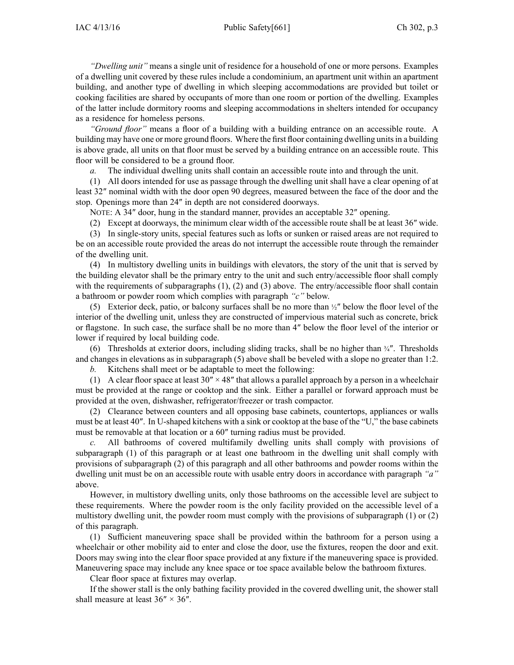## IAC 4/13/16 Public Safety[661] Ch 302, p.3

*"Dwelling unit"* means <sup>a</sup> single unit of residence for <sup>a</sup> household of one or more persons. Examples of <sup>a</sup> dwelling unit covered by these rules include <sup>a</sup> condominium, an apartment unit within an apartment building, and another type of dwelling in which sleeping accommodations are provided but toilet or cooking facilities are shared by occupants of more than one room or portion of the dwelling. Examples of the latter include dormitory rooms and sleeping accommodations in shelters intended for occupancy as <sup>a</sup> residence for homeless persons.

*"Ground floor"* means <sup>a</sup> floor of <sup>a</sup> building with <sup>a</sup> building entrance on an accessible route. A building may have one or more ground floors. Where the first floor containing dwelling unitsin <sup>a</sup> building is above grade, all units on that floor must be served by <sup>a</sup> building entrance on an accessible route. This floor will be considered to be <sup>a</sup> ground floor.

*a.* The individual dwelling units shall contain an accessible route into and through the unit.

(1) All doors intended for use as passage through the dwelling unit shall have <sup>a</sup> clear opening of at least 32″ nominal width with the door open 90 degrees, measured between the face of the door and the stop. Openings more than 24″ in depth are not considered doorways.

NOTE: A 34″ door, hung in the standard manner, provides an acceptable 32″ opening.

(2) Except at doorways, the minimum clear width of the accessible route shall be at least 36″ wide.

(3) In single-story units, special features such as lofts or sunken or raised areas are not required to be on an accessible route provided the areas do not interrupt the accessible route through the remainder of the dwelling unit.

(4) In multistory dwelling units in buildings with elevators, the story of the unit that is served by the building elevator shall be the primary entry to the unit and such entry/accessible floor shall comply with the requirements of subparagraphs  $(1)$ ,  $(2)$  and  $(3)$  above. The entry/accessible floor shall contain <sup>a</sup> bathroom or powder room which complies with paragraph *"c"* below.

(5) Exterior deck, patio, or balcony surfaces shall be no more than <sup>½</sup>″ below the floor level of the interior of the dwelling unit, unless they are constructed of impervious material such as concrete, brick or flagstone. In such case, the surface shall be no more than 4″ below the floor level of the interior or lower if required by local building code.

(6) Thresholds at exterior doors, including sliding tracks, shall be no higher than  $\frac{3}{4}$ . Thresholds and changes in elevations as in subparagraph (5) above shall be beveled with <sup>a</sup> slope no greater than 1:2.

*b.* Kitchens shall meet or be adaptable to meet the following:

(1) A clear floor space at least  $30'' \times 48''$  that allows a parallel approach by a person in a wheelchair must be provided at the range or cooktop and the sink. Either <sup>a</sup> parallel or forward approach must be provided at the oven, dishwasher, refrigerator/freezer or trash compactor.

(2) Clearance between counters and all opposing base cabinets, countertops, appliances or walls must be at least 40″. In U-shaped kitchens with <sup>a</sup> sink or cooktop at the base of the "U," the base cabinets must be removable at that location or <sup>a</sup> 60″ turning radius must be provided.

*c.* All bathrooms of covered multifamily dwelling units shall comply with provisions of subparagraph (1) of this paragraph or at least one bathroom in the dwelling unit shall comply with provisions of subparagraph (2) of this paragraph and all other bathrooms and powder rooms within the dwelling unit must be on an accessible route with usable entry doors in accordance with paragraph *"a"* above.

However, in multistory dwelling units, only those bathrooms on the accessible level are subject to these requirements. Where the powder room is the only facility provided on the accessible level of <sup>a</sup> multistory dwelling unit, the powder room must comply with the provisions of subparagraph (1) or (2) of this paragraph.

(1) Sufficient maneuvering space shall be provided within the bathroom for <sup>a</sup> person using <sup>a</sup> wheelchair or other mobility aid to enter and close the door, use the fixtures, reopen the door and exit. Doors may swing into the clear floor space provided at any fixture if the maneuvering space is provided. Maneuvering space may include any knee space or toe space available below the bathroom fixtures.

Clear floor space at fixtures may overlap.

If the shower stall is the only bathing facility provided in the covered dwelling unit, the shower stall shall measure at least  $36'' \times 36''$ .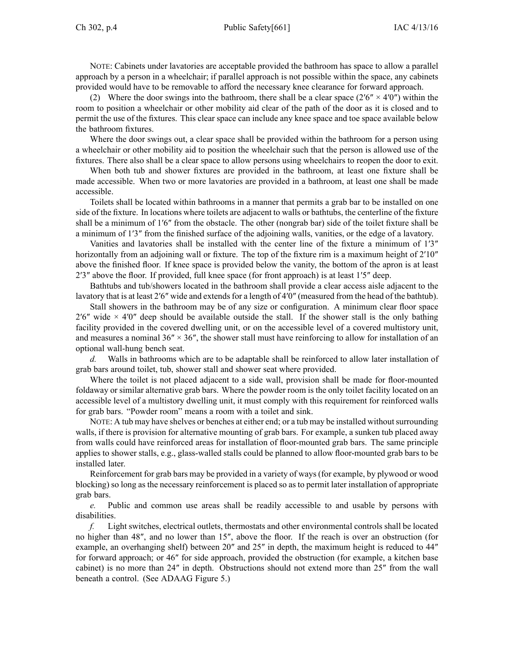NOTE: Cabinets under lavatories are acceptable provided the bathroom has space to allow <sup>a</sup> parallel approach by <sup>a</sup> person in <sup>a</sup> wheelchair; if parallel approach is not possible within the space, any cabinets provided would have to be removable to afford the necessary knee clearance for forward approach.

(2) Where the door swings into the bathroom, there shall be a clear space (2′6"  $\times$  4′0") within the room to position <sup>a</sup> wheelchair or other mobility aid clear of the path of the door as it is closed and to permit the use of the fixtures. This clear space can include any knee space and toe space available below the bathroom fixtures.

Where the door swings out, <sup>a</sup> clear space shall be provided within the bathroom for <sup>a</sup> person using <sup>a</sup> wheelchair or other mobility aid to position the wheelchair such that the person is allowed use of the fixtures. There also shall be <sup>a</sup> clear space to allow persons using wheelchairs to reopen the door to exit.

When both tub and shower fixtures are provided in the bathroom, at least one fixture shall be made accessible. When two or more lavatories are provided in <sup>a</sup> bathroom, at least one shall be made accessible.

Toilets shall be located within bathrooms in <sup>a</sup> manner that permits <sup>a</sup> grab bar to be installed on one side of the fixture. In locations where toilets are adjacent to walls or bathtubs, the centerline of the fixture shall be <sup>a</sup> minimum of 1′6″ from the obstacle. The other (nongrab bar) side of the toilet fixture shall be <sup>a</sup> minimum of 1′3″ from the finished surface of the adjoining walls, vanities, or the edge of <sup>a</sup> lavatory.

Vanities and lavatories shall be installed with the center line of the fixture <sup>a</sup> minimum of 1′3″ horizontally from an adjoining wall or fixture. The top of the fixture rim is a maximum height of 2'10" above the finished floor. If knee space is provided below the vanity, the bottom of the apron is at least 2′3″ above the floor. If provided, full knee space (for front approach) is at least 1′5″ deep.

Bathtubs and tub/showers located in the bathroom shall provide <sup>a</sup> clear access aisle adjacent to the lavatory that is at least 2′6″ wide and extends for a length of 4′0″ (measured from the head of the bathtub).

Stall showers in the bathroom may be of any size or configuration. A minimum clear floor space  $2'6''$  wide  $\times$  4'0" deep should be available outside the stall. If the shower stall is the only bathing facility provided in the covered dwelling unit, or on the accessible level of <sup>a</sup> covered multistory unit, and measures a nominal  $36'' \times 36''$ , the shower stall must have reinforcing to allow for installation of an optional wall-hung bench seat.

*d.* Walls in bathrooms which are to be adaptable shall be reinforced to allow later installation of grab bars around toilet, tub, shower stall and shower seat where provided.

Where the toilet is not placed adjacent to <sup>a</sup> side wall, provision shall be made for floor-mounted foldaway or similar alternative grab bars. Where the powder room is the only toilet facility located on an accessible level of <sup>a</sup> multistory dwelling unit, it must comply with this requirement for reinforced walls for grab bars. "Powder room" means <sup>a</sup> room with <sup>a</sup> toilet and sink.

NOTE: A tub may have shelves or benches at either end; or a tub may be installed without surrounding walls, if there is provision for alternative mounting of grab bars. For example, <sup>a</sup> sunken tub placed away from walls could have reinforced areas for installation of floor-mounted grab bars. The same principle applies to shower stalls, e.g., glass-walled stalls could be planned to allow floor-mounted grab bars to be installed later.

Reinforcement for grab bars may be provided in <sup>a</sup> variety of ways (for example, by plywood or wood blocking) so long as the necessary reinforcement is placed so as to permit later installation of appropriate grab bars.

*e.* Public and common use areas shall be readily accessible to and usable by persons with disabilities.

*f.* Light switches, electrical outlets, thermostats and other environmental controls shall be located no higher than 48″, and no lower than 15″, above the floor. If the reach is over an obstruction (for example, an overhanging shelf) between 20″ and 25″ in depth, the maximum height is reduced to 44″ for forward approach; or 46″ for side approach, provided the obstruction (for example, <sup>a</sup> kitchen base cabinet) is no more than 24″ in depth. Obstructions should not extend more than 25″ from the wall beneath <sup>a</sup> control. (See ADAAG Figure 5.)